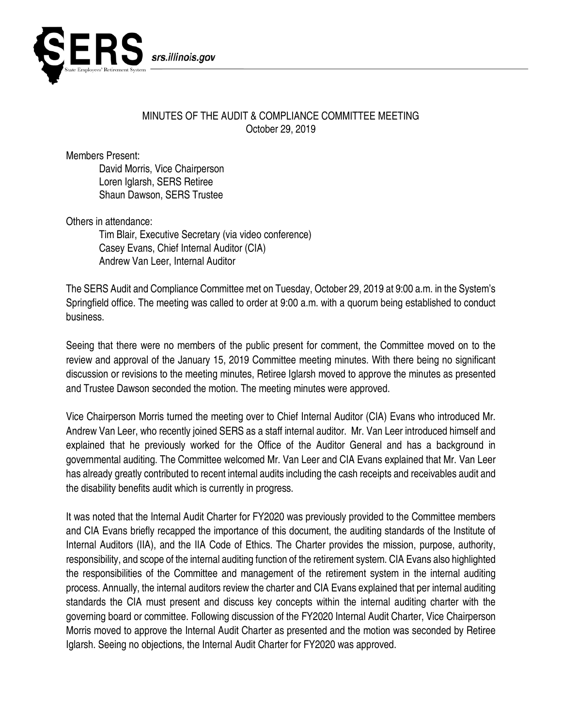

## MINUTES OF THE AUDIT & COMPLIANCE COMMITTEE MEETING October 29, 2019

Members Present:

David Morris, Vice Chairperson Loren Iglarsh, SERS Retiree Shaun Dawson, SERS Trustee

Others in attendance:

Tim Blair, Executive Secretary (via video conference) Casey Evans, Chief Internal Auditor (CIA) Andrew Van Leer, Internal Auditor

The SERS Audit and Compliance Committee met on Tuesday, October 29, 2019 at 9:00 a.m. in the System's Springfield office. The meeting was called to order at 9:00 a.m. with a quorum being established to conduct business.

Seeing that there were no members of the public present for comment, the Committee moved on to the review and approval of the January 15, 2019 Committee meeting minutes. With there being no significant discussion or revisions to the meeting minutes, Retiree Iglarsh moved to approve the minutes as presented and Trustee Dawson seconded the motion. The meeting minutes were approved.

Vice Chairperson Morris turned the meeting over to Chief Internal Auditor (CIA) Evans who introduced Mr. Andrew Van Leer, who recently joined SERS as a staff internal auditor. Mr. Van Leer introduced himself and explained that he previously worked for the Office of the Auditor General and has a background in governmental auditing. The Committee welcomed Mr. Van Leer and CIA Evans explained that Mr. Van Leer has already greatly contributed to recent internal audits including the cash receipts and receivables audit and the disability benefits audit which is currently in progress.

It was noted that the Internal Audit Charter for FY2020 was previously provided to the Committee members and CIA Evans briefly recapped the importance of this document, the auditing standards of the Institute of Internal Auditors (IIA), and the IIA Code of Ethics. The Charter provides the mission, purpose, authority, responsibility, and scope of the internal auditing function of the retirement system. CIA Evans also highlighted the responsibilities of the Committee and management of the retirement system in the internal auditing process. Annually, the internal auditors review the charter and CIA Evans explained that per internal auditing standards the CIA must present and discuss key concepts within the internal auditing charter with the governing board or committee. Following discussion of the FY2020 Internal Audit Charter, Vice Chairperson Morris moved to approve the Internal Audit Charter as presented and the motion was seconded by Retiree Iglarsh. Seeing no objections, the Internal Audit Charter for FY2020 was approved.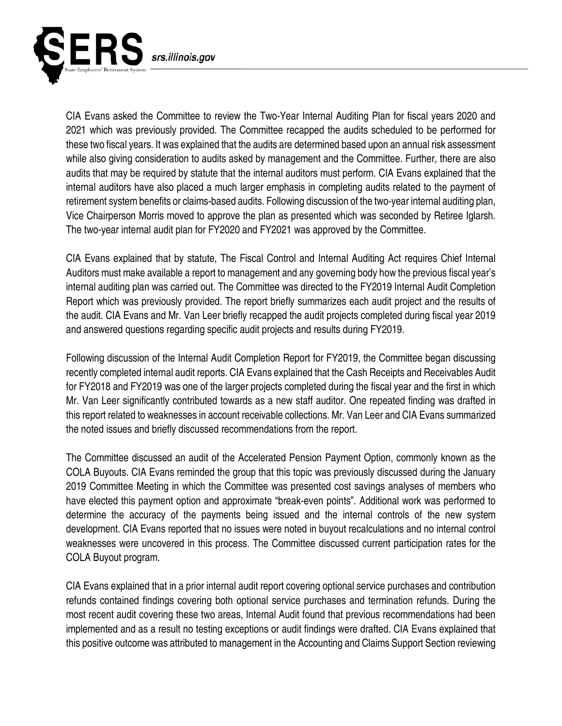

CIA Evans asked the Committee to review the Two-Year Internal Auditing Plan for fiscal years 2020 and 2021 which was previously provided. The Committee recapped the audits scheduled to be performed for these two fiscal years. It was explained that the audits are determined based upon an annual risk assessment while also giving consideration to audits asked by management and the Committee. Further, there are also audits that may be required by statute that the internal auditors must perform. CIA Evans explained that the internal auditors have also placed a much larger emphasis in completing audits related to the payment of retirement system benefits or claims-based audits. Following discussion of the two-year internal auditing plan, Vice Chairperson Morris moved to approve the plan as presented which was seconded by Retiree Iglarsh. The two-year internal audit plan for FY2020 and FY2021 was approved by the Committee.

CIA Evans explained that by statute, The Fiscal Control and Internal Auditing Act requires Chief Internal Auditors must make available a report to management and any governing body how the previous fiscal year's internal auditing plan was carried out. The Committee was directed to the FY2019 Internal Audit Completion Report which was previously provided. The report briefly summarizes each audit project and the results of the audit. CIA Evans and Mr. Van Leer briefly recapped the audit projects completed during fiscal year 2019 and answered questions regarding specific audit projects and results during FY2019.

Following discussion of the Internal Audit Completion Report for FY2019, the Committee began discussing recently completed internal audit reports. CIA Evans explained that the Cash Receipts and Receivables Audit for FY2018 and FY2019 was one of the larger projects completed during the fiscal year and the first in which Mr. Van Leer significantly contributed towards as a new staff auditor. One repeated finding was drafted in this report related to weaknesses in account receivable collections. Mr. Van Leer and CIA Evans summarized the noted issues and briefly discussed recommendations from the report.

The Committee discussed an audit of the Accelerated Pension Payment Option, commonly known as the COLA Buyouts. CIA Evans reminded the group that this topic was previously discussed during the January 2019 Committee Meeting in which the Committee was presented cost savings analyses of members who have elected this payment option and approximate "break-even points". Additional work was performed to determine the accuracy of the payments being issued and the internal controls of the new system development. CIA Evans reported that no issues were noted in buyout recalculations and no internal control weaknesses were uncovered in this process. The Committee discussed current participation rates for the COLA Buyout program.

CIA Evans explained that in a prior internal audit report covering optional service purchases and contribution refunds contained findings covering both optional service purchases and termination refunds. During the most recent audit covering these two areas, Internal Audit found that previous recommendations had been implemented and as a result no testing exceptions or audit findings were drafted. CIA Evans explained that this positive outcome was attributed to management in the Accounting and Claims Support Section reviewing